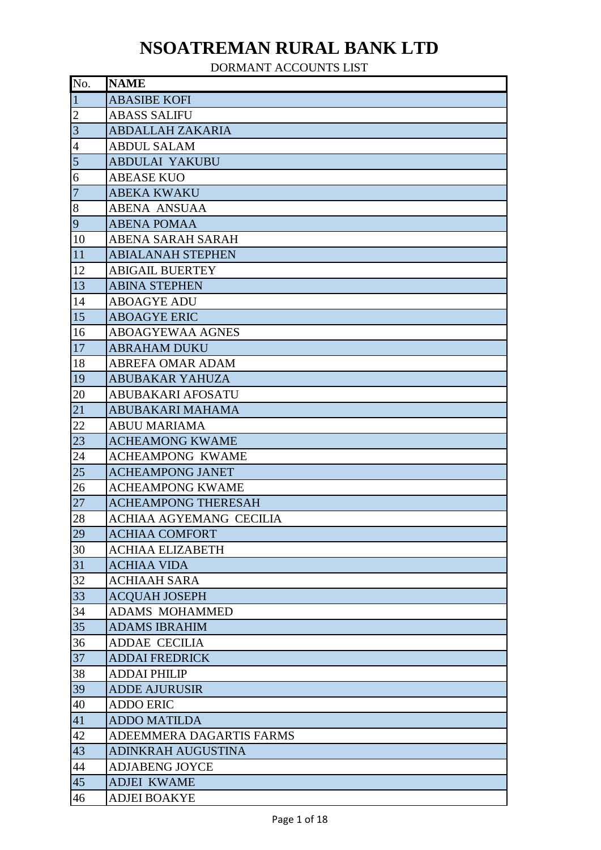## **NSOATREMAN RURAL BANK LTD**

DORMANT ACCOUNTS LIST

| No.            | <b>NAME</b>                |
|----------------|----------------------------|
| $\mathbf{1}$   | <b>ABASIBE KOFI</b>        |
| $\overline{2}$ | <b>ABASS SALIFU</b>        |
| 3              | <b>ABDALLAH ZAKARIA</b>    |
| $\overline{4}$ | <b>ABDUL SALAM</b>         |
| 5              | <b>ABDULAI YAKUBU</b>      |
| 6              | <b>ABEASE KUO</b>          |
| $\overline{7}$ | <b>ABEKA KWAKU</b>         |
| $8\,$          | <b>ABENA ANSUAA</b>        |
| 9              | <b>ABENA POMAA</b>         |
| 10             | ABENA SARAH SARAH          |
| 11             | <b>ABIALANAH STEPHEN</b>   |
| 12             | <b>ABIGAIL BUERTEY</b>     |
| 13             | <b>ABINA STEPHEN</b>       |
| 14             | <b>ABOAGYE ADU</b>         |
| 15             | <b>ABOAGYE ERIC</b>        |
| 16             | <b>ABOAGYEWAA AGNES</b>    |
| 17             | <b>ABRAHAM DUKU</b>        |
| 18             | <b>ABREFA OMAR ADAM</b>    |
| 19             | <b>ABUBAKAR YAHUZA</b>     |
| 20             | ABUBAKARI AFOSATU          |
| 21             | ABUBAKARI MAHAMA           |
| 22             | ABUU MARIAMA               |
| 23             | <b>ACHEAMONG KWAME</b>     |
| 24             | <b>ACHEAMPONG KWAME</b>    |
| 25             | <b>ACHEAMPONG JANET</b>    |
| 26             | <b>ACHEAMPONG KWAME</b>    |
| 27             | <b>ACHEAMPONG THERESAH</b> |
| 28             | ACHIAA AGYEMANG CECILIA    |
| 29             | <b>ACHIAA COMFORT</b>      |
| 30             | <b>ACHIAA ELIZABETH</b>    |
| 31             | <b>ACHIAA VIDA</b>         |
| 32             | <b>ACHIAAH SARA</b>        |
| 33             | <b>ACQUAH JOSEPH</b>       |
| 34             | <b>ADAMS MOHAMMED</b>      |
| 35             | <b>ADAMS IBRAHIM</b>       |
| 36             | <b>ADDAE CECILIA</b>       |
| 37             | <b>ADDAI FREDRICK</b>      |
| 38             | <b>ADDAI PHILIP</b>        |
| 39             | <b>ADDE AJURUSIR</b>       |
| 40             | <b>ADDO ERIC</b>           |
| 41             | <b>ADDO MATILDA</b>        |
| 42             | ADEEMMERA DAGARTIS FARMS   |
| 43             | <b>ADINKRAH AUGUSTINA</b>  |
| 44             | <b>ADJABENG JOYCE</b>      |
| 45             | <b>ADJEI KWAME</b>         |
| 46             | <b>ADJEI BOAKYE</b>        |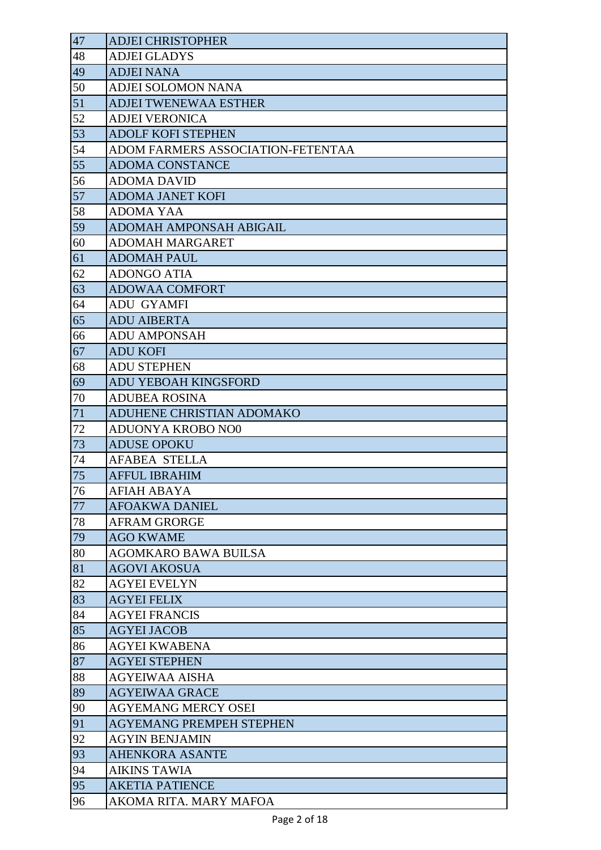| 47 | <b>ADJEI CHRISTOPHER</b>          |
|----|-----------------------------------|
| 48 | <b>ADJEI GLADYS</b>               |
| 49 | <b>ADJEI NANA</b>                 |
| 50 | <b>ADJEI SOLOMON NANA</b>         |
| 51 | <b>ADJEI TWENEWAA ESTHER</b>      |
| 52 | <b>ADJEI VERONICA</b>             |
| 53 | <b>ADOLF KOFI STEPHEN</b>         |
| 54 | ADOM FARMERS ASSOCIATION-FETENTAA |
| 55 | <b>ADOMA CONSTANCE</b>            |
| 56 | <b>ADOMA DAVID</b>                |
| 57 | <b>ADOMA JANET KOFI</b>           |
| 58 | <b>ADOMA YAA</b>                  |
| 59 | ADOMAH AMPONSAH ABIGAIL           |
| 60 | <b>ADOMAH MARGARET</b>            |
| 61 | <b>ADOMAH PAUL</b>                |
| 62 | <b>ADONGO ATIA</b>                |
| 63 | <b>ADOWAA COMFORT</b>             |
| 64 | <b>ADU GYAMFI</b>                 |
| 65 | <b>ADU AIBERTA</b>                |
| 66 | <b>ADU AMPONSAH</b>               |
| 67 | <b>ADU KOFI</b>                   |
| 68 | <b>ADU STEPHEN</b>                |
| 69 | ADU YEBOAH KINGSFORD              |
| 70 | <b>ADUBEA ROSINA</b>              |
| 71 | ADUHENE CHRISTIAN ADOMAKO         |
| 72 | ADUONYA KROBO NO0                 |
| 73 | <b>ADUSE OPOKU</b>                |
| 74 | <b>AFABEA STELLA</b>              |
| 75 | <b>AFFUL IBRAHIM</b>              |
| 76 | <b>AFIAH ABAYA</b>                |
| 77 | <b>AFOAKWA DANIEL</b>             |
| 78 | <b>AFRAM GRORGE</b>               |
| 79 | <b>AGO KWAME</b>                  |
| 80 | <b>AGOMKARO BAWA BUILSA</b>       |
| 81 | <b>AGOVI AKOSUA</b>               |
| 82 | <b>AGYEI EVELYN</b>               |
| 83 | <b>AGYEI FELIX</b>                |
| 84 | <b>AGYEI FRANCIS</b>              |
| 85 | <b>AGYEI JACOB</b>                |
| 86 | <b>AGYEI KWABENA</b>              |
| 87 | <b>AGYEI STEPHEN</b>              |
| 88 | AGYEIWAA AISHA                    |
| 89 | <b>AGYEIWAA GRACE</b>             |
| 90 | <b>AGYEMANG MERCY OSEI</b>        |
| 91 | <b>AGYEMANG PREMPEH STEPHEN</b>   |
| 92 | <b>AGYIN BENJAMIN</b>             |
| 93 | <b>AHENKORA ASANTE</b>            |
| 94 | <b>AIKINS TAWIA</b>               |
| 95 | <b>AKETIA PATIENCE</b>            |
| 96 | AKOMA RITA. MARY MAFOA            |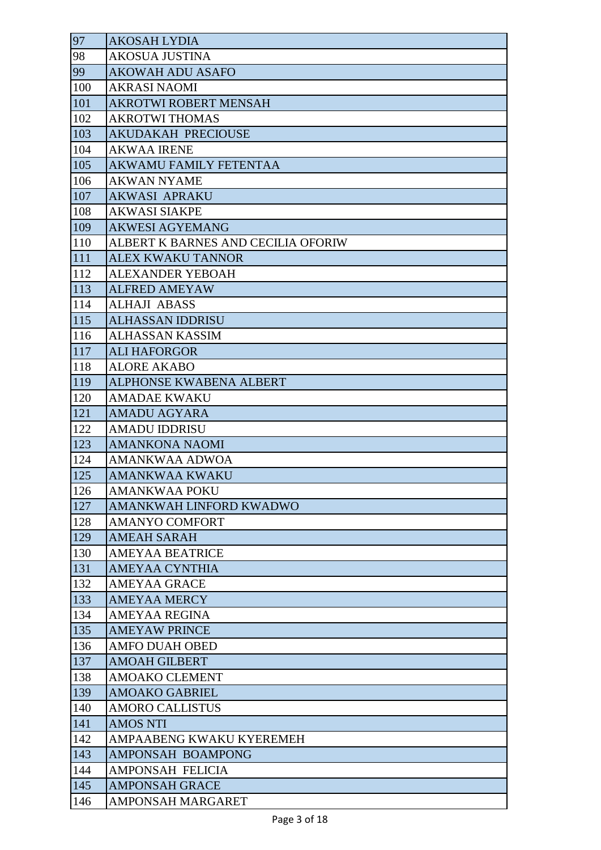| 97  | <b>AKOSAH LYDIA</b>                |
|-----|------------------------------------|
| 98  | AKOSUA JUSTINA                     |
| 99  | <b>AKOWAH ADU ASAFO</b>            |
| 100 | <b>AKRASI NAOMI</b>                |
| 101 | <b>AKROTWI ROBERT MENSAH</b>       |
| 102 | <b>AKROTWI THOMAS</b>              |
| 103 | <b>AKUDAKAH PRECIOUSE</b>          |
| 104 | <b>AKWAA IRENE</b>                 |
| 105 | AKWAMU FAMILY FETENTAA             |
| 106 | <b>AKWAN NYAME</b>                 |
| 107 | <b>AKWASI APRAKU</b>               |
| 108 | <b>AKWASI SIAKPE</b>               |
| 109 | <b>AKWESI AGYEMANG</b>             |
| 110 | ALBERT K BARNES AND CECILIA OFORIW |
| 111 | <b>ALEX KWAKU TANNOR</b>           |
| 112 | <b>ALEXANDER YEBOAH</b>            |
| 113 | <b>ALFRED AMEYAW</b>               |
| 114 | <b>ALHAJI ABASS</b>                |
| 115 | <b>ALHASSAN IDDRISU</b>            |
| 116 | <b>ALHASSAN KASSIM</b>             |
| 117 | <b>ALI HAFORGOR</b>                |
| 118 | <b>ALORE AKABO</b>                 |
| 119 | ALPHONSE KWABENA ALBERT            |
| 120 | <b>AMADAE KWAKU</b>                |
| 121 | <b>AMADU AGYARA</b>                |
| 122 | <b>AMADU IDDRISU</b>               |
| 123 | <b>AMANKONA NAOMI</b>              |
| 124 | <b>AMANKWAA ADWOA</b>              |
| 125 | <b>AMANKWAA KWAKU</b>              |
| 126 | <b>AMANKWAA POKU</b>               |
| 127 | AMANKWAH LINFORD KWADWO            |
| 128 | <b>AMANYO COMFORT</b>              |
| 129 | <b>AMEAH SARAH</b>                 |
| 130 | <b>AMEYAA BEATRICE</b>             |
| 131 | <b>AMEYAA CYNTHIA</b>              |
| 132 | <b>AMEYAA GRACE</b>                |
| 133 | <b>AMEYAA MERCY</b>                |
| 134 | AMEYAA REGINA                      |
| 135 | <b>AMEYAW PRINCE</b>               |
| 136 | <b>AMFO DUAH OBED</b>              |
| 137 | <b>AMOAH GILBERT</b>               |
| 138 | <b>AMOAKO CLEMENT</b>              |
| 139 | <b>AMOAKO GABRIEL</b>              |
| 140 | <b>AMORO CALLISTUS</b>             |
| 141 | <b>AMOS NTI</b>                    |
| 142 | AMPAABENG KWAKU KYEREMEH           |
| 143 | AMPONSAH BOAMPONG                  |
| 144 | <b>AMPONSAH FELICIA</b>            |
| 145 | <b>AMPONSAH GRACE</b>              |
| 146 | AMPONSAH MARGARET                  |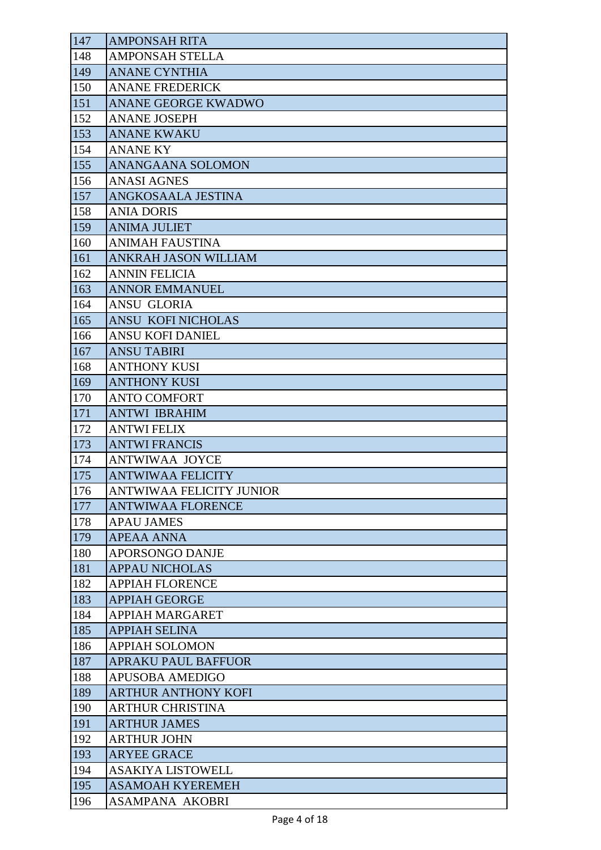| 147        | <b>AMPONSAH RITA</b>        |
|------------|-----------------------------|
| 148        | <b>AMPONSAH STELLA</b>      |
| 149        | <b>ANANE CYNTHIA</b>        |
| 150        | <b>ANANE FREDERICK</b>      |
| 151        | <b>ANANE GEORGE KWADWO</b>  |
| 152        | <b>ANANE JOSEPH</b>         |
| 153        | <b>ANANE KWAKU</b>          |
| 154        | <b>ANANE KY</b>             |
| 155        | <b>ANANGAANA SOLOMON</b>    |
| 156        | <b>ANASI AGNES</b>          |
| <b>157</b> | ANGKOSAALA JESTINA          |
| 158        | <b>ANIA DORIS</b>           |
| 159        | <b>ANIMA JULIET</b>         |
| 160        | <b>ANIMAH FAUSTINA</b>      |
| 161        | <b>ANKRAH JASON WILLIAM</b> |
| 162        | <b>ANNIN FELICIA</b>        |
| 163        | <b>ANNOR EMMANUEL</b>       |
| 164        | <b>ANSU GLORIA</b>          |
| 165        | ANSU KOFI NICHOLAS          |
| 166        | <b>ANSU KOFI DANIEL</b>     |
| 167        | <b>ANSU TABIRI</b>          |
| 168        | <b>ANTHONY KUSI</b>         |
| 169        | <b>ANTHONY KUSI</b>         |
| <b>170</b> | <b>ANTO COMFORT</b>         |
| 171        | <b>ANTWI IBRAHIM</b>        |
| <b>172</b> | <b>ANTWI FELIX</b>          |
| 173        | <b>ANTWI FRANCIS</b>        |
| 174        | <b>ANTWIWAA JOYCE</b>       |
| 175        | <b>ANTWIWAA FELICITY</b>    |
| 176        | ANTWIWAA FELICITY JUNIOR    |
| <b>177</b> | <b>ANTWIWAA FLORENCE</b>    |
| 178        | <b>APAU JAMES</b>           |
| 179        | <b>APEAA ANNA</b>           |
| 180        | <b>APORSONGO DANJE</b>      |
| 181        | <b>APPAU NICHOLAS</b>       |
| 182        | <b>APPIAH FLORENCE</b>      |
| 183        | <b>APPIAH GEORGE</b>        |
| 184        | <b>APPIAH MARGARET</b>      |
| 185        | <b>APPIAH SELINA</b>        |
| 186        | <b>APPIAH SOLOMON</b>       |
| 187        | <b>APRAKU PAUL BAFFUOR</b>  |
| 188        | <b>APUSOBA AMEDIGO</b>      |
| 189        | <b>ARTHUR ANTHONY KOFI</b>  |
| 190        | <b>ARTHUR CHRISTINA</b>     |
| 191        | <b>ARTHUR JAMES</b>         |
| 192        | <b>ARTHUR JOHN</b>          |
| 193        | <b>ARYEE GRACE</b>          |
| 194        | <b>ASAKIYA LISTOWELL</b>    |
| 195        | <b>ASAMOAH KYEREMEH</b>     |
| 196        | <b>ASAMPANA AKOBRI</b>      |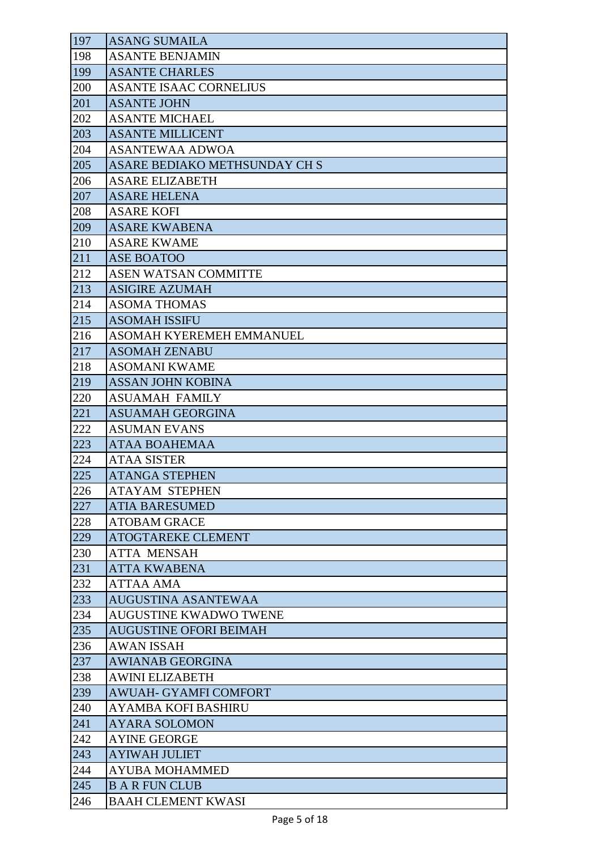| 197 | <b>ASANG SUMAILA</b>          |
|-----|-------------------------------|
| 198 | <b>ASANTE BENJAMIN</b>        |
| 199 | <b>ASANTE CHARLES</b>         |
| 200 | <b>ASANTE ISAAC CORNELIUS</b> |
| 201 | <b>ASANTE JOHN</b>            |
| 202 | <b>ASANTE MICHAEL</b>         |
| 203 | <b>ASANTE MILLICENT</b>       |
| 204 | <b>ASANTEWAA ADWOA</b>        |
| 205 | ASARE BEDIAKO METHSUNDAY CH S |
| 206 | <b>ASARE ELIZABETH</b>        |
| 207 | <b>ASARE HELENA</b>           |
| 208 | <b>ASARE KOFI</b>             |
| 209 | <b>ASARE KWABENA</b>          |
| 210 | <b>ASARE KWAME</b>            |
| 211 | <b>ASE BOATOO</b>             |
| 212 | <b>ASEN WATSAN COMMITTE</b>   |
| 213 | <b>ASIGIRE AZUMAH</b>         |
| 214 | <b>ASOMA THOMAS</b>           |
| 215 | <b>ASOMAH ISSIFU</b>          |
| 216 | ASOMAH KYEREMEH EMMANUEL      |
| 217 | <b>ASOMAH ZENABU</b>          |
| 218 | <b>ASOMANI KWAME</b>          |
| 219 | <b>ASSAN JOHN KOBINA</b>      |
| 220 | <b>ASUAMAH FAMILY</b>         |
| 221 | <b>ASUAMAH GEORGINA</b>       |
| 222 | <b>ASUMAN EVANS</b>           |
| 223 | <b>ATAA BOAHEMAA</b>          |
| 224 | <b>ATAA SISTER</b>            |
| 225 | <b>ATANGA STEPHEN</b>         |
| 226 | <b>ATAYAM STEPHEN</b>         |
| 227 | <b>ATIA BARESUMED</b>         |
| 228 | <b>ATOBAM GRACE</b>           |
| 229 | <b>ATOGTAREKE CLEMENT</b>     |
| 230 | <b>ATTA MENSAH</b>            |
| 231 | <b>ATTA KWABENA</b>           |
| 232 | <b>ATTAA AMA</b>              |
| 233 | <b>AUGUSTINA ASANTEWAA</b>    |
| 234 | <b>AUGUSTINE KWADWO TWENE</b> |
| 235 | <b>AUGUSTINE OFORI BEIMAH</b> |
| 236 | <b>AWAN ISSAH</b>             |
| 237 | <b>AWIANAB GEORGINA</b>       |
| 238 | <b>AWINI ELIZABETH</b>        |
| 239 | <b>AWUAH- GYAMFI COMFORT</b>  |
| 240 | <b>AYAMBA KOFI BASHIRU</b>    |
| 241 | <b>AYARA SOLOMON</b>          |
| 242 | <b>AYINE GEORGE</b>           |
| 243 | <b>AYIWAH JULIET</b>          |
| 244 | <b>AYUBA MOHAMMED</b>         |
| 245 | <b>B A R FUN CLUB</b>         |
| 246 | <b>BAAH CLEMENT KWASI</b>     |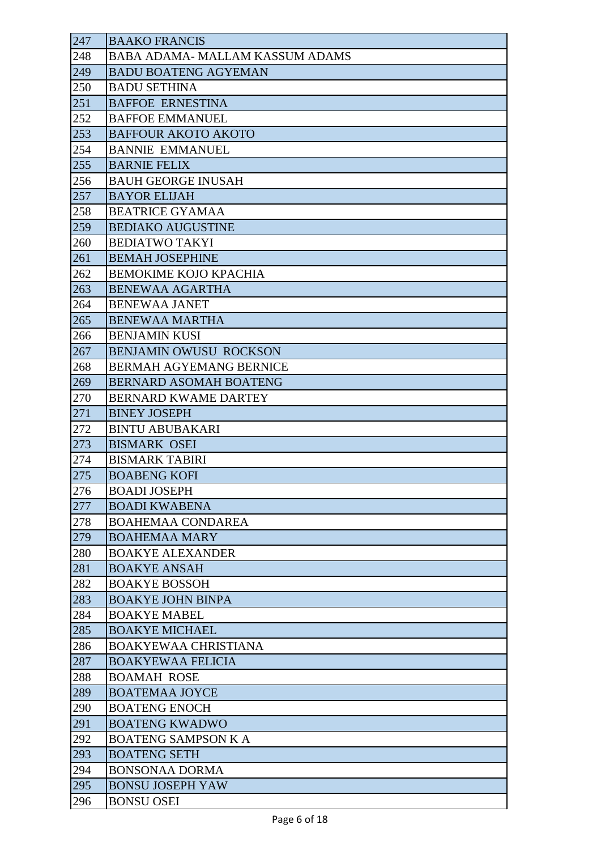| 247 | <b>BAAKO FRANCIS</b>            |
|-----|---------------------------------|
| 248 | BABA ADAMA- MALLAM KASSUM ADAMS |
| 249 | <b>BADU BOATENG AGYEMAN</b>     |
| 250 | <b>BADU SETHINA</b>             |
| 251 | <b>BAFFOE ERNESTINA</b>         |
| 252 | <b>BAFFOE EMMANUEL</b>          |
| 253 | <b>BAFFOUR AKOTO AKOTO</b>      |
| 254 | <b>BANNIE EMMANUEL</b>          |
| 255 | <b>BARNIE FELIX</b>             |
| 256 | <b>BAUH GEORGE INUSAH</b>       |
| 257 | <b>BAYOR ELIJAH</b>             |
| 258 | <b>BEATRICE GYAMAA</b>          |
| 259 | <b>BEDIAKO AUGUSTINE</b>        |
| 260 | <b>BEDIATWO TAKYI</b>           |
| 261 | <b>BEMAH JOSEPHINE</b>          |
| 262 | <b>BEMOKIME KOJO KPACHIA</b>    |
| 263 | <b>BENEWAA AGARTHA</b>          |
| 264 | <b>BENEWAA JANET</b>            |
| 265 | <b>BENEWAA MARTHA</b>           |
| 266 | <b>BENJAMIN KUSI</b>            |
| 267 | <b>BENJAMIN OWUSU ROCKSON</b>   |
| 268 | <b>BERMAH AGYEMANG BERNICE</b>  |
| 269 | <b>BERNARD ASOMAH BOATENG</b>   |
| 270 | <b>BERNARD KWAME DARTEY</b>     |
| 271 | <b>BINEY JOSEPH</b>             |
| 272 | <b>BINTU ABUBAKARI</b>          |
| 273 | <b>BISMARK OSEI</b>             |
| 274 | <b>BISMARK TABIRI</b>           |
| 275 | <b>BOABENG KOFI</b>             |
| 276 | <b>BOADI JOSEPH</b>             |
| 277 | <b>BOADI KWABENA</b>            |
| 278 | <b>BOAHEMAA CONDAREA</b>        |
| 279 | <b>BOAHEMAA MARY</b>            |
| 280 | <b>BOAKYE ALEXANDER</b>         |
| 281 | <b>BOAKYE ANSAH</b>             |
| 282 | <b>BOAKYE BOSSOH</b>            |
| 283 | <b>BOAKYE JOHN BINPA</b>        |
| 284 | <b>BOAKYE MABEL</b>             |
| 285 | <b>BOAKYE MICHAEL</b>           |
| 286 | <b>BOAKYEWAA CHRISTIANA</b>     |
| 287 | <b>BOAKYEWAA FELICIA</b>        |
| 288 | <b>BOAMAH ROSE</b>              |
| 289 | <b>BOATEMAA JOYCE</b>           |
| 290 | <b>BOATENG ENOCH</b>            |
| 291 | <b>BOATENG KWADWO</b>           |
| 292 | <b>BOATENG SAMPSON K A</b>      |
| 293 | <b>BOATENG SETH</b>             |
| 294 | <b>BONSONAA DORMA</b>           |
| 295 | <b>BONSU JOSEPH YAW</b>         |
| 296 | <b>BONSU OSEI</b>               |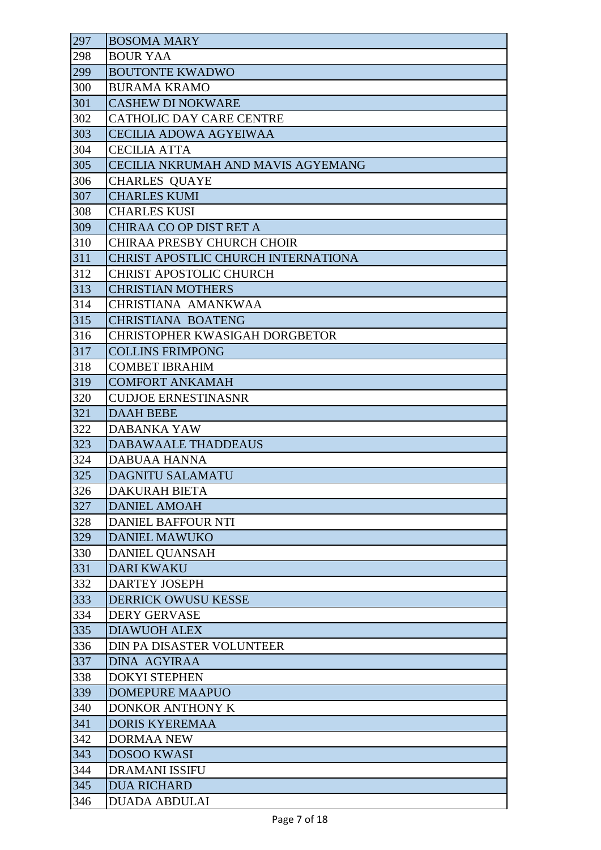| 297 | <b>BOSOMA MARY</b>                         |
|-----|--------------------------------------------|
| 298 | <b>BOUR YAA</b>                            |
| 299 | <b>BOUTONTE KWADWO</b>                     |
| 300 | <b>BURAMA KRAMO</b>                        |
| 301 | <b>CASHEW DI NOKWARE</b>                   |
| 302 | <b>CATHOLIC DAY CARE CENTRE</b>            |
| 303 | <b>CECILIA ADOWA AGYEIWAA</b>              |
| 304 | <b>CECILIA ATTA</b>                        |
| 305 | CECILIA NKRUMAH AND MAVIS AGYEMANG         |
| 306 | <b>CHARLES QUAYE</b>                       |
| 307 | <b>CHARLES KUMI</b>                        |
| 308 | <b>CHARLES KUSI</b>                        |
| 309 | CHIRAA CO OP DIST RET A                    |
| 310 | CHIRAA PRESBY CHURCH CHOIR                 |
| 311 | <b>CHRIST APOSTLIC CHURCH INTERNATIONA</b> |
| 312 | <b>CHRIST APOSTOLIC CHURCH</b>             |
| 313 | <b>CHRISTIAN MOTHERS</b>                   |
| 314 | CHRISTIANA AMANKWAA                        |
| 315 | <b>CHRISTIANA BOATENG</b>                  |
| 316 | <b>CHRISTOPHER KWASIGAH DORGBETOR</b>      |
| 317 | <b>COLLINS FRIMPONG</b>                    |
| 318 | <b>COMBET IBRAHIM</b>                      |
| 319 | <b>COMFORT ANKAMAH</b>                     |
| 320 | <b>CUDJOE ERNESTINASNR</b>                 |
| 321 | <b>DAAH BEBE</b>                           |
| 322 | <b>DABANKA YAW</b>                         |
| 323 | <b>DABAWAALE THADDEAUS</b>                 |
| 324 | <b>DABUAA HANNA</b>                        |
| 325 | <b>DAGNITU SALAMATU</b>                    |
| 326 | <b>DAKURAH BIETA</b>                       |
| 327 | <b>DANIEL AMOAH</b>                        |
| 328 | <b>DANIEL BAFFOUR NTI</b>                  |
| 329 | <b>DANIEL MAWUKO</b>                       |
| 330 | DANIEL QUANSAH                             |
| 331 | <b>DARI KWAKU</b>                          |
| 332 | <b>DARTEY JOSEPH</b>                       |
| 333 | <b>DERRICK OWUSU KESSE</b>                 |
| 334 | <b>DERY GERVASE</b>                        |
| 335 | <b>DIAWUOH ALEX</b>                        |
| 336 | <b>DIN PA DISASTER VOLUNTEER</b>           |
| 337 | <b>DINA AGYIRAA</b>                        |
| 338 | <b>DOKYI STEPHEN</b>                       |
| 339 | <b>DOMEPURE MAAPUO</b>                     |
| 340 | DONKOR ANTHONY K                           |
| 341 | <b>DORIS KYEREMAA</b>                      |
| 342 | <b>DORMAA NEW</b>                          |
| 343 | <b>DOSOO KWASI</b>                         |
| 344 | <b>DRAMANI ISSIFU</b>                      |
| 345 | <b>DUA RICHARD</b>                         |
| 346 | <b>DUADA ABDULAI</b>                       |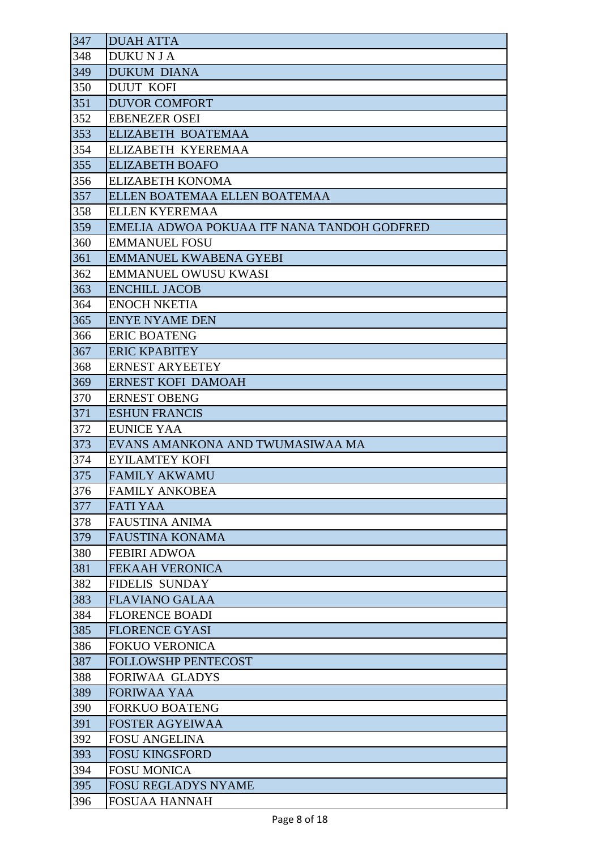| 347 | <b>DUAH ATTA</b>                            |
|-----|---------------------------------------------|
| 348 | <b>DUKUNJA</b>                              |
| 349 | <b>DUKUM DIANA</b>                          |
| 350 | <b>DUUT KOFI</b>                            |
| 351 | <b>DUVOR COMFORT</b>                        |
| 352 | <b>EBENEZER OSEI</b>                        |
| 353 | <b>ELIZABETH BOATEMAA</b>                   |
| 354 | ELIZABETH KYEREMAA                          |
| 355 | <b>ELIZABETH BOAFO</b>                      |
| 356 | <b>ELIZABETH KONOMA</b>                     |
| 357 | ELLEN BOATEMAA ELLEN BOATEMAA               |
| 358 | <b>ELLEN KYEREMAA</b>                       |
| 359 | EMELIA ADWOA POKUAA ITF NANA TANDOH GODFRED |
| 360 | <b>EMMANUEL FOSU</b>                        |
| 361 | <b>EMMANUEL KWABENA GYEBI</b>               |
| 362 | <b>EMMANUEL OWUSU KWASI</b>                 |
| 363 | <b>ENCHILL JACOB</b>                        |
| 364 | <b>ENOCH NKETIA</b>                         |
| 365 | <b>ENYE NYAME DEN</b>                       |
| 366 | <b>ERIC BOATENG</b>                         |
| 367 | <b>ERIC KPABITEY</b>                        |
| 368 | <b>ERNEST ARYEETEY</b>                      |
| 369 | <b>ERNEST KOFI DAMOAH</b>                   |
| 370 | <b>ERNEST OBENG</b>                         |
| 371 | <b>ESHUN FRANCIS</b>                        |
| 372 | <b>EUNICE YAA</b>                           |
| 373 | EVANS AMANKONA AND TWUMASIWAA MA            |
| 374 | <b>EYILAMTEY KOFI</b>                       |
| 375 | <b>FAMILY AKWAMU</b>                        |
| 376 | <b>FAMILY ANKOBEA</b>                       |
| 377 | <b>FATI YAA</b>                             |
| 378 | <b>FAUSTINA ANIMA</b>                       |
| 379 | <b>FAUSTINA KONAMA</b>                      |
| 380 | <b>FEBIRI ADWOA</b>                         |
| 381 | <b>FEKAAH VERONICA</b>                      |
| 382 | <b>FIDELIS SUNDAY</b>                       |
| 383 | <b>FLAVIANO GALAA</b>                       |
| 384 | <b>FLORENCE BOADI</b>                       |
| 385 | <b>FLORENCE GYASI</b>                       |
| 386 | <b>FOKUO VERONICA</b>                       |
| 387 | <b>FOLLOWSHP PENTECOST</b>                  |
| 388 | <b>FORIWAA GLADYS</b>                       |
| 389 | <b>FORIWAA YAA</b>                          |
| 390 | <b>FORKUO BOATENG</b>                       |
| 391 | <b>FOSTER AGYEIWAA</b>                      |
| 392 | <b>FOSU ANGELINA</b>                        |
| 393 | <b>FOSU KINGSFORD</b>                       |
| 394 | <b>FOSU MONICA</b>                          |
| 395 | <b>FOSU REGLADYS NYAME</b>                  |
| 396 | <b>FOSUAA HANNAH</b>                        |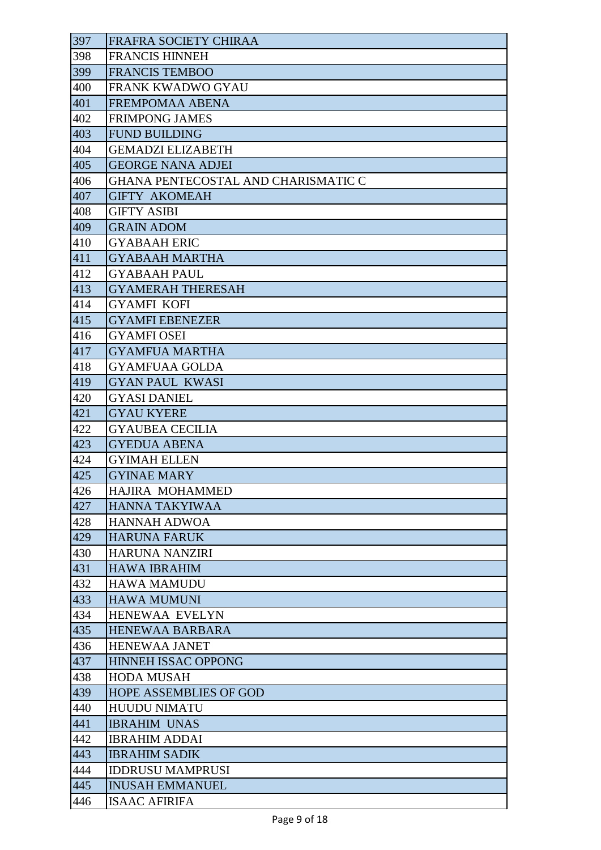| 397 | FRAFRA SOCIETY CHIRAA                      |
|-----|--------------------------------------------|
| 398 | <b>FRANCIS HINNEH</b>                      |
| 399 | <b>FRANCIS TEMBOO</b>                      |
| 400 | <b>FRANK KWADWO GYAU</b>                   |
| 401 | <b>FREMPOMAA ABENA</b>                     |
| 402 | <b>FRIMPONG JAMES</b>                      |
| 403 | <b>FUND BUILDING</b>                       |
| 404 | <b>GEMADZI ELIZABETH</b>                   |
| 405 | <b>GEORGE NANA ADJEI</b>                   |
| 406 | <b>GHANA PENTECOSTAL AND CHARISMATIC C</b> |
| 407 | <b>GIFTY AKOMEAH</b>                       |
| 408 | <b>GIFTY ASIBI</b>                         |
| 409 | <b>GRAIN ADOM</b>                          |
| 410 | <b>GYABAAH ERIC</b>                        |
| 411 | <b>GYABAAH MARTHA</b>                      |
| 412 | <b>GYABAAH PAUL</b>                        |
| 413 | <b>GYAMERAH THERESAH</b>                   |
| 414 | <b>GYAMFI KOFI</b>                         |
| 415 | <b>GYAMFI EBENEZER</b>                     |
| 416 | <b>GYAMFI OSEI</b>                         |
| 417 | <b>GYAMFUA MARTHA</b>                      |
| 418 | <b>GYAMFUAA GOLDA</b>                      |
| 419 | <b>GYAN PAUL KWASI</b>                     |
| 420 | <b>GYASI DANIEL</b>                        |
| 421 | <b>GYAU KYERE</b>                          |
| 422 | <b>GYAUBEA CECILIA</b>                     |
| 423 | <b>GYEDUA ABENA</b>                        |
| 424 | <b>GYIMAH ELLEN</b>                        |
| 425 | <b>GYINAE MARY</b>                         |
| 426 | HAJIRA MOHAMMED                            |
| 427 | <b>HANNA TAKYIWAA</b>                      |
| 428 | <b>HANNAH ADWOA</b>                        |
| 429 | <b>HARUNA FARUK</b>                        |
| 430 | <b>HARUNA NANZIRI</b>                      |
| 431 | <b>HAWA IBRAHIM</b>                        |
| 432 | <b>HAWA MAMUDU</b>                         |
| 433 | <b>HAWA MUMUNI</b>                         |
| 434 | HENEWAA EVELYN                             |
| 435 | <b>HENEWAA BARBARA</b>                     |
| 436 | <b>HENEWAA JANET</b>                       |
| 437 | <b>HINNEH ISSAC OPPONG</b>                 |
| 438 | <b>HODA MUSAH</b>                          |
| 439 | <b>HOPE ASSEMBLIES OF GOD</b>              |
| 440 | <b>HUUDU NIMATU</b>                        |
| 441 | <b>IBRAHIM UNAS</b>                        |
| 442 | <b>IBRAHIM ADDAI</b>                       |
| 443 | <b>IBRAHIM SADIK</b>                       |
| 444 | <b>IDDRUSU MAMPRUSI</b>                    |
| 445 | <b>INUSAH EMMANUEL</b>                     |
| 446 | <b>ISAAC AFIRIFA</b>                       |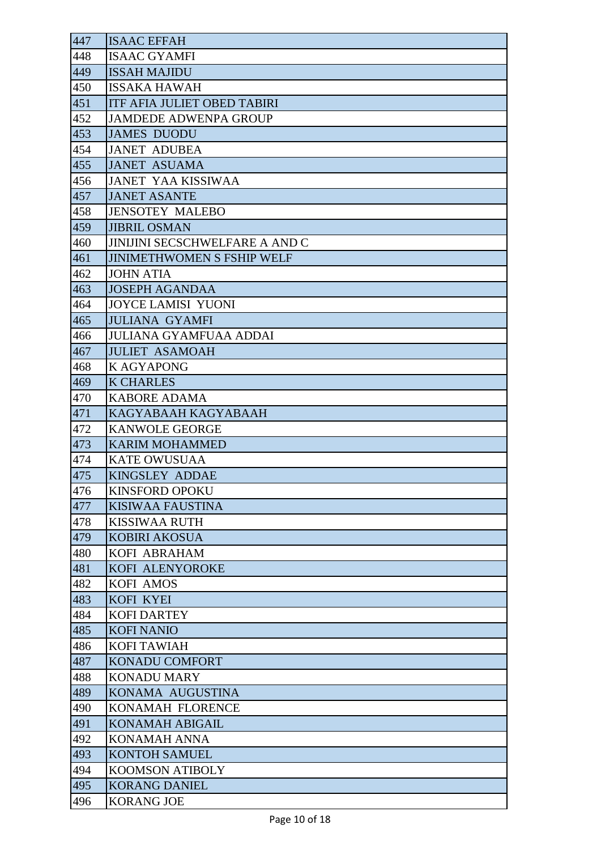| 447 | <b>ISAAC EFFAH</b>                    |
|-----|---------------------------------------|
| 448 | <b>ISAAC GYAMFI</b>                   |
| 449 | <b>ISSAH MAJIDU</b>                   |
| 450 | <b>ISSAKA HAWAH</b>                   |
| 451 | <b>ITF AFIA JULIET OBED TABIRI</b>    |
| 452 | <b>JAMDEDE ADWENPA GROUP</b>          |
| 453 | <b>JAMES DUODU</b>                    |
| 454 | <b>JANET ADUBEA</b>                   |
| 455 | <b>JANET ASUAMA</b>                   |
| 456 | <b>JANET YAA KISSIWAA</b>             |
| 457 | <b>JANET ASANTE</b>                   |
| 458 | <b>JENSOTEY MALEBO</b>                |
| 459 | <b>JIBRIL OSMAN</b>                   |
| 460 | <b>JINIJINI SECSCHWELFARE A AND C</b> |
| 461 | <b>JINIMETHWOMEN S FSHIP WELF</b>     |
| 462 | <b>JOHN ATIA</b>                      |
| 463 | <b>JOSEPH AGANDAA</b>                 |
| 464 | <b>JOYCE LAMISI YUONI</b>             |
| 465 | <b>JULIANA GYAMFI</b>                 |
| 466 | <b>JULIANA GYAMFUAA ADDAI</b>         |
| 467 | <b>JULIET ASAMOAH</b>                 |
| 468 | <b>K AGYAPONG</b>                     |
| 469 | <b>K CHARLES</b>                      |
| 470 | <b>KABORE ADAMA</b>                   |
| 471 | KAGYABAAH KAGYABAAH                   |
| 472 | <b>KANWOLE GEORGE</b>                 |
| 473 | <b>KARIM MOHAMMED</b>                 |
| 474 | <b>KATE OWUSUAA</b>                   |
| 475 | <b>KINGSLEY ADDAE</b>                 |
| 476 | <b>KINSFORD OPOKU</b>                 |
| 477 | <b>KISIWAA FAUSTINA</b>               |
| 478 | <b>KISSIWAA RUTH</b>                  |
| 479 | <b>KOBIRI AKOSUA</b>                  |
| 480 | KOFI ABRAHAM                          |
| 481 | KOFI ALENYOROKE                       |
| 482 | <b>KOFI AMOS</b>                      |
| 483 | KOFI KYEI                             |
| 484 | <b>KOFI DARTEY</b>                    |
| 485 | <b>KOFI NANIO</b>                     |
| 486 | <b>KOFI TAWIAH</b>                    |
| 487 | <b>KONADU COMFORT</b>                 |
| 488 | <b>KONADU MARY</b>                    |
| 489 | KONAMA AUGUSTINA                      |
| 490 | KONAMAH FLORENCE                      |
| 491 | <b>KONAMAH ABIGAIL</b>                |
| 492 | <b>KONAMAH ANNA</b>                   |
| 493 | <b>KONTOH SAMUEL</b>                  |
| 494 | <b>KOOMSON ATIBOLY</b>                |
| 495 | <b>KORANG DANIEL</b>                  |
| 496 | <b>KORANG JOE</b>                     |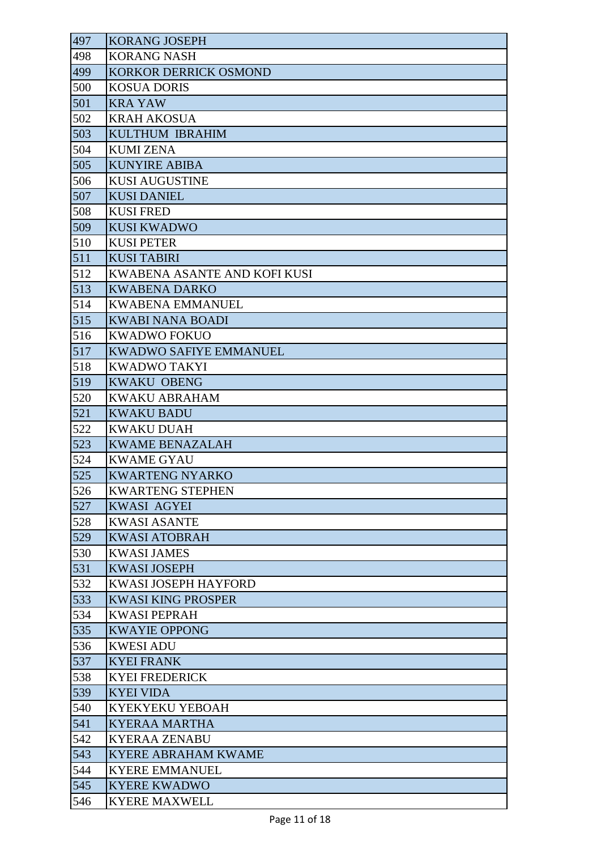| 497        | <b>KORANG JOSEPH</b>                                |
|------------|-----------------------------------------------------|
| 498        | <b>KORANG NASH</b>                                  |
| 499        | <b>KORKOR DERRICK OSMOND</b>                        |
| 500        | <b>KOSUA DORIS</b>                                  |
| 501        | <b>KRA YAW</b>                                      |
| 502        | <b>KRAH AKOSUA</b>                                  |
| 503        | KULTHUM IBRAHIM                                     |
| 504        | <b>KUMI ZENA</b>                                    |
| 505        | <b>KUNYIRE ABIBA</b>                                |
| 506        | <b>KUSI AUGUSTINE</b>                               |
| 507        | <b>KUSI DANIEL</b>                                  |
| 508        | <b>KUSI FRED</b>                                    |
| 509        | <b>KUSI KWADWO</b>                                  |
| 510        | <b>KUSI PETER</b>                                   |
| 511        | <b>KUSI TABIRI</b>                                  |
| 512        | KWABENA ASANTE AND KOFI KUSI                        |
| 513        | <b>KWABENA DARKO</b>                                |
| 514        | <b>KWABENA EMMANUEL</b>                             |
| 515        | <b>KWABI NANA BOADI</b>                             |
| 516        | <b>KWADWO FOKUO</b>                                 |
| 517        | <b>KWADWO SAFIYE EMMANUEL</b>                       |
| 518        | <b>KWADWO TAKYI</b>                                 |
| 519        | <b>KWAKU OBENG</b>                                  |
| 520        | <b>KWAKU ABRAHAM</b>                                |
| 521        | <b>KWAKU BADU</b>                                   |
| 522        | <b>KWAKU DUAH</b>                                   |
| 523        | <b>KWAME BENAZALAH</b>                              |
| 524        | <b>KWAME GYAU</b>                                   |
| 525        | <b>KWARTENG NYARKO</b>                              |
| 526        | <b>KWARTENG STEPHEN</b>                             |
| 527        | <b>KWASI AGYEI</b>                                  |
| 528        | <b>KWASI ASANTE</b>                                 |
| 529        | <b>KWASI ATOBRAH</b>                                |
| 530        | <b>KWASI JAMES</b>                                  |
| 531        | <b>KWASI JOSEPH</b>                                 |
| 532        | KWASI JOSEPH HAYFORD                                |
| 533        | <b>KWASI KING PROSPER</b>                           |
| 534        | <b>KWASI PEPRAH</b>                                 |
| 535        | <b>KWAYIE OPPONG</b>                                |
| 536        | <b>KWESI ADU</b>                                    |
| 537        | <b>KYEI FRANK</b>                                   |
| 538        | <b>KYEI FREDERICK</b>                               |
| 539        | <b>KYEI VIDA</b>                                    |
| 540        | KYEKYEKU YEBOAH                                     |
| 541        | <b>KYERAA MARTHA</b>                                |
| 542        | <b>KYERAA ZENABU</b>                                |
| 543<br>544 | <b>KYERE ABRAHAM KWAME</b><br><b>KYERE EMMANUEL</b> |
| 545        | <b>KYERE KWADWO</b>                                 |
| 546        | <b>KYERE MAXWELL</b>                                |
|            |                                                     |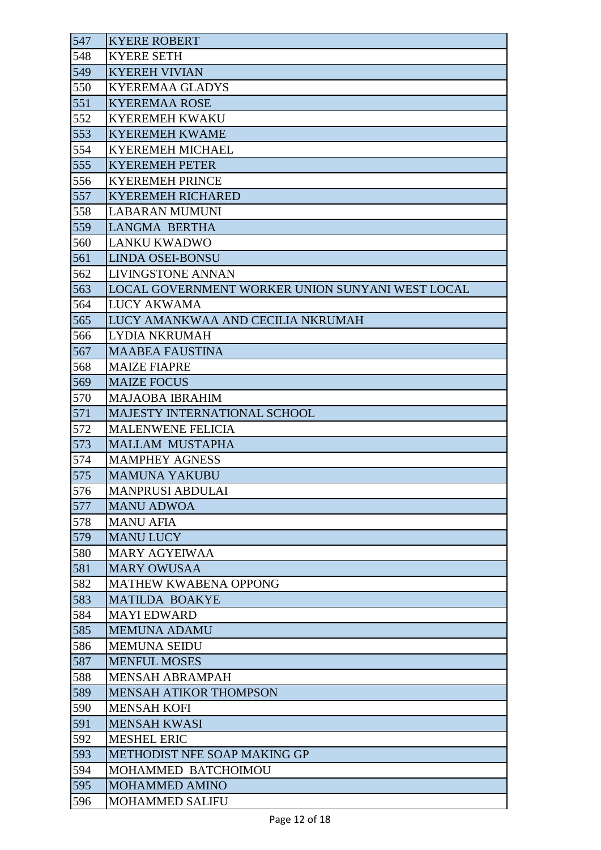| 547 | <b>KYERE ROBERT</b>                                     |
|-----|---------------------------------------------------------|
| 548 | <b>KYERE SETH</b>                                       |
| 549 | <b>KYEREH VIVIAN</b>                                    |
| 550 | <b>KYEREMAA GLADYS</b>                                  |
| 551 | <b>KYEREMAA ROSE</b>                                    |
| 552 | <b>KYEREMEH KWAKU</b>                                   |
| 553 | <b>KYEREMEH KWAME</b>                                   |
| 554 | <b>KYEREMEH MICHAEL</b>                                 |
| 555 | <b>KYEREMEH PETER</b>                                   |
| 556 | <b>KYEREMEH PRINCE</b>                                  |
| 557 | <b>KYEREMEH RICHARED</b>                                |
| 558 | <b>LABARAN MUMUNI</b>                                   |
| 559 | <b>LANGMA BERTHA</b>                                    |
| 560 | <b>LANKU KWADWO</b>                                     |
| 561 | <b>LINDA OSEI-BONSU</b>                                 |
| 562 | LIVINGSTONE ANNAN                                       |
| 563 | <b>LOCAL GOVERNMENT WORKER UNION SUNYANI WEST LOCAL</b> |
| 564 | <b>LUCY AKWAMA</b>                                      |
| 565 | LUCY AMANKWAA AND CECILIA NKRUMAH                       |
| 566 | LYDIA NKRUMAH                                           |
| 567 | <b>MAABEA FAUSTINA</b>                                  |
| 568 | <b>MAIZE FIAPRE</b>                                     |
| 569 | <b>MAIZE FOCUS</b>                                      |
| 570 | <b>MAJAOBA IBRAHIM</b>                                  |
| 571 | <b>MAJESTY INTERNATIONAL SCHOOL</b>                     |
| 572 | <b>MALENWENE FELICIA</b>                                |
| 573 | <b>MALLAM MUSTAPHA</b>                                  |
| 574 | <b>MAMPHEY AGNESS</b>                                   |
| 575 | <b>MAMUNA YAKUBU</b>                                    |
| 576 | <b>MANPRUSI ABDULAI</b>                                 |
| 577 | <b>MANU ADWOA</b>                                       |
| 578 | <b>MANU AFIA</b>                                        |
| 579 | <b>MANU LUCY</b>                                        |
| 580 | <b>MARY AGYEIWAA</b>                                    |
| 581 | <b>MARY OWUSAA</b>                                      |
| 582 | <b>MATHEW KWABENA OPPONG</b>                            |
| 583 | <b>MATILDA BOAKYE</b>                                   |
| 584 | <b>MAYI EDWARD</b>                                      |
| 585 | <b>MEMUNA ADAMU</b>                                     |
| 586 | <b>MEMUNA SEIDU</b>                                     |
| 587 | <b>MENFUL MOSES</b>                                     |
| 588 | <b>MENSAH ABRAMPAH</b>                                  |
| 589 | <b>MENSAH ATIKOR THOMPSON</b>                           |
| 590 | <b>MENSAH KOFI</b>                                      |
| 591 | <b>MENSAH KWASI</b>                                     |
| 592 | <b>MESHEL ERIC</b>                                      |
| 593 | <b>METHODIST NFE SOAP MAKING GP</b>                     |
| 594 | MOHAMMED BATCHOIMOU                                     |
| 595 | <b>MOHAMMED AMINO</b>                                   |
| 596 | <b>MOHAMMED SALIFU</b>                                  |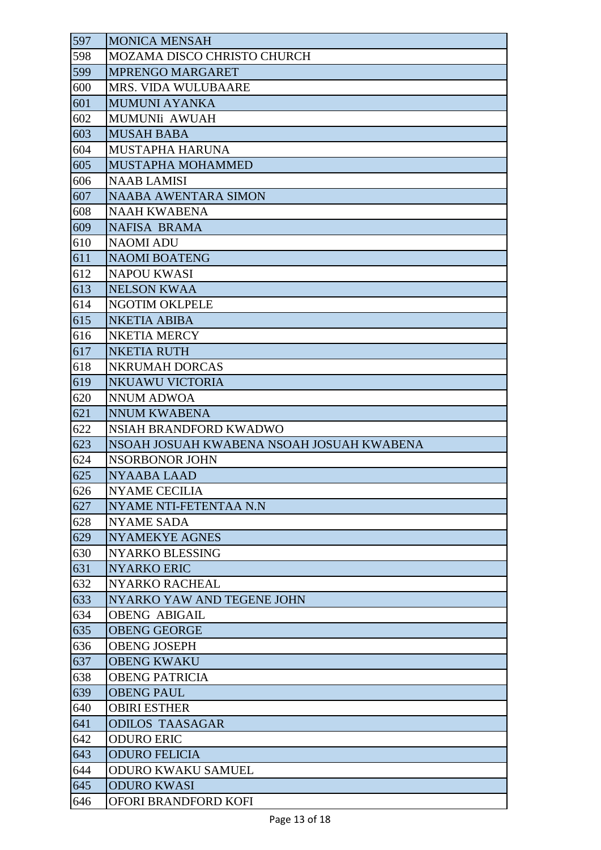| 597 | <b>MONICA MENSAH</b>                      |
|-----|-------------------------------------------|
| 598 | <b>MOZAMA DISCO CHRISTO CHURCH</b>        |
| 599 | <b>MPRENGO MARGARET</b>                   |
| 600 | <b>MRS. VIDA WULUBAARE</b>                |
| 601 | <b>MUMUNI AYANKA</b>                      |
| 602 | MUMUNIi AWUAH                             |
| 603 | <b>MUSAH BABA</b>                         |
| 604 | <b>MUSTAPHA HARUNA</b>                    |
| 605 | MUSTAPHA MOHAMMED                         |
| 606 | <b>NAAB LAMISI</b>                        |
| 607 | <b>NAABA AWENTARA SIMON</b>               |
| 608 | <b>NAAH KWABENA</b>                       |
| 609 | <b>NAFISA BRAMA</b>                       |
| 610 | <b>NAOMI ADU</b>                          |
| 611 | <b>NAOMI BOATENG</b>                      |
| 612 | <b>NAPOU KWASI</b>                        |
| 613 | <b>NELSON KWAA</b>                        |
| 614 | <b>NGOTIM OKLPELE</b>                     |
| 615 | <b>NKETIA ABIBA</b>                       |
| 616 | <b>NKETIA MERCY</b>                       |
| 617 | <b>NKETIA RUTH</b>                        |
| 618 | <b>NKRUMAH DORCAS</b>                     |
| 619 | <b>NKUAWU VICTORIA</b>                    |
| 620 | NNUM ADWOA                                |
| 621 | <b>NNUM KWABENA</b>                       |
|     |                                           |
| 622 | NSIAH BRANDFORD KWADWO                    |
| 623 | NSOAH JOSUAH KWABENA NSOAH JOSUAH KWABENA |
| 624 | <b>NSORBONOR JOHN</b>                     |
| 625 | <b>NYAABA LAAD</b>                        |
| 626 | <b>NYAME CECILIA</b>                      |
| 627 | NYAME NTI-FETENTAA N.N                    |
| 628 | <b>NYAME SADA</b>                         |
| 629 | <b>NYAMEKYE AGNES</b>                     |
| 630 | <b>NYARKO BLESSING</b>                    |
| 631 | <b>NYARKO ERIC</b>                        |
| 632 | NYARKO RACHEAL                            |
| 633 | NYARKO YAW AND TEGENE JOHN                |
| 634 | <b>OBENG ABIGAIL</b>                      |
| 635 | <b>OBENG GEORGE</b>                       |
| 636 | <b>OBENG JOSEPH</b>                       |
| 637 | <b>OBENG KWAKU</b>                        |
| 638 | <b>OBENG PATRICIA</b>                     |
| 639 | <b>OBENG PAUL</b>                         |
| 640 | <b>OBIRI ESTHER</b>                       |
| 641 | <b>ODILOS TAASAGAR</b>                    |
| 642 | <b>ODURO ERIC</b>                         |
| 643 | <b>ODURO FELICIA</b>                      |
| 644 | <b>ODURO KWAKU SAMUEL</b>                 |
| 645 | <b>ODURO KWASI</b>                        |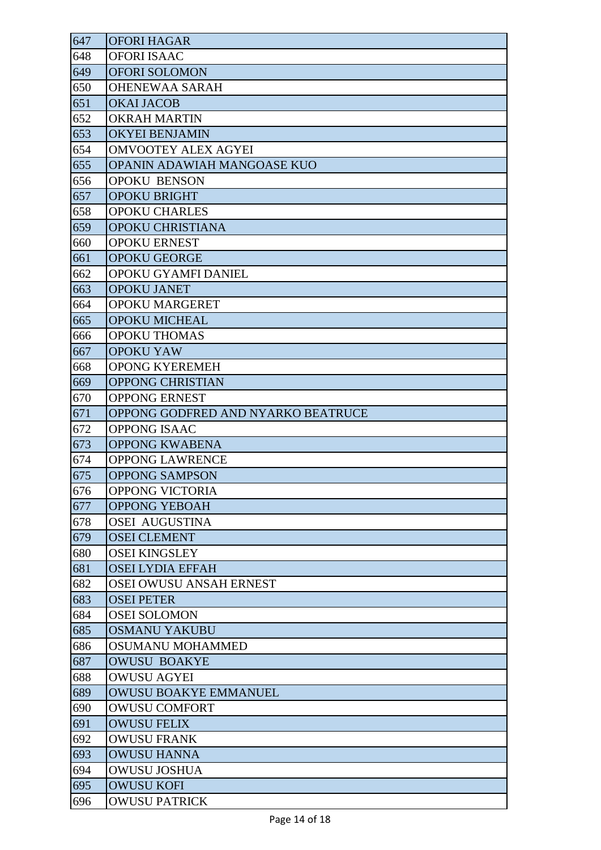| 647 | <b>OFORI HAGAR</b>                 |
|-----|------------------------------------|
| 648 | <b>OFORI ISAAC</b>                 |
| 649 | <b>OFORI SOLOMON</b>               |
| 650 | <b>OHENEWAA SARAH</b>              |
| 651 | <b>OKAI JACOB</b>                  |
| 652 | <b>OKRAH MARTIN</b>                |
| 653 | <b>OKYEI BENJAMIN</b>              |
| 654 | <b>OMVOOTEY ALEX AGYEI</b>         |
| 655 | OPANIN ADAWIAH MANGOASE KUO        |
| 656 | <b>OPOKU BENSON</b>                |
| 657 | <b>OPOKU BRIGHT</b>                |
| 658 | <b>OPOKU CHARLES</b>               |
| 659 | OPOKU CHRISTIANA                   |
| 660 | <b>OPOKU ERNEST</b>                |
| 661 | <b>OPOKU GEORGE</b>                |
| 662 | OPOKU GYAMFI DANIEL                |
| 663 | <b>OPOKU JANET</b>                 |
| 664 | <b>OPOKU MARGERET</b>              |
| 665 | OPOKU MICHEAL                      |
| 666 | <b>OPOKU THOMAS</b>                |
| 667 | <b>OPOKU YAW</b>                   |
| 668 | <b>OPONG KYEREMEH</b>              |
| 669 | <b>OPPONG CHRISTIAN</b>            |
| 670 | <b>OPPONG ERNEST</b>               |
| 671 | OPPONG GODFRED AND NYARKO BEATRUCE |
| 672 | <b>OPPONG ISAAC</b>                |
| 673 | <b>OPPONG KWABENA</b>              |
| 674 | <b>OPPONG LAWRENCE</b>             |
| 675 | <b>OPPONG SAMPSON</b>              |
| 676 | OPPONG VICTORIA                    |
| 677 | <b>OPPONG YEBOAH</b>               |
| 678 | <b>OSEI AUGUSTINA</b>              |
| 679 | <b>OSEI CLEMENT</b>                |
| 680 | <b>OSEI KINGSLEY</b>               |
| 681 | <b>OSEI LYDIA EFFAH</b>            |
| 682 | <b>OSEI OWUSU ANSAH ERNEST</b>     |
| 683 | <b>OSEI PETER</b>                  |
| 684 | <b>OSEI SOLOMON</b>                |
| 685 | <b>OSMANU YAKUBU</b>               |
| 686 | OSUMANU MOHAMMED                   |
| 687 | <b>OWUSU BOAKYE</b>                |
| 688 | <b>OWUSU AGYEI</b>                 |
| 689 | <b>OWUSU BOAKYE EMMANUEL</b>       |
| 690 | <b>OWUSU COMFORT</b>               |
| 691 | <b>OWUSU FELIX</b>                 |
| 692 | <b>OWUSU FRANK</b>                 |
| 693 | <b>OWUSU HANNA</b>                 |
| 694 | <b>OWUSU JOSHUA</b>                |
| 695 | <b>OWUSU KOFI</b>                  |
| 696 | <b>OWUSU PATRICK</b>               |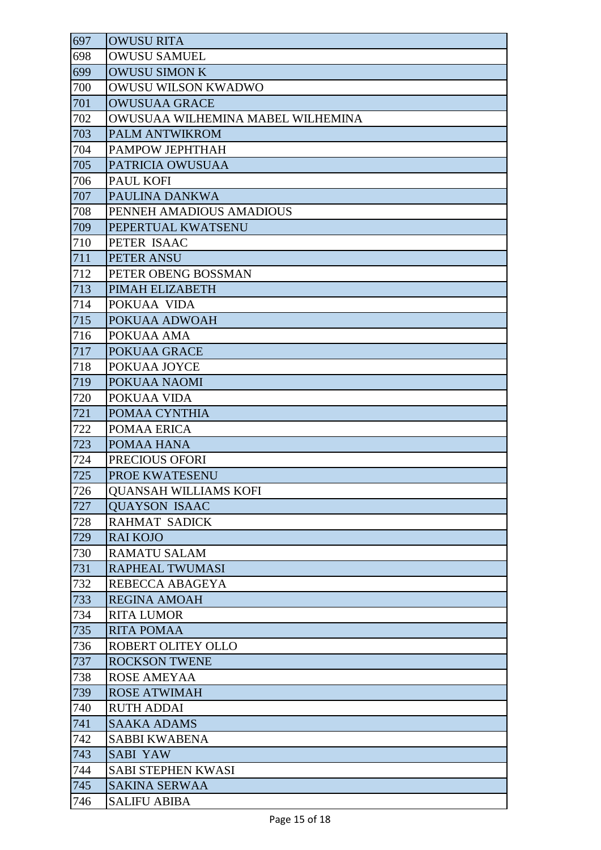| 697 | <b>OWUSU RITA</b>                 |
|-----|-----------------------------------|
| 698 | <b>OWUSU SAMUEL</b>               |
| 699 | <b>OWUSU SIMON K</b>              |
| 700 | OWUSU WILSON KWADWO               |
| 701 | <b>OWUSUAA GRACE</b>              |
| 702 | OWUSUAA WILHEMINA MABEL WILHEMINA |
| 703 | <b>PALM ANTWIKROM</b>             |
| 704 | PAMPOW JEPHTHAH                   |
| 705 | PATRICIA OWUSUAA                  |
| 706 | PAUL KOFI                         |
| 707 | PAULINA DANKWA                    |
| 708 | PENNEH AMADIOUS AMADIOUS          |
| 709 | PEPERTUAL KWATSENU                |
| 710 | PETER ISAAC                       |
| 711 | <b>PETER ANSU</b>                 |
| 712 | PETER OBENG BOSSMAN               |
| 713 | PIMAH ELIZABETH                   |
| 714 | POKUAA VIDA                       |
| 715 | POKUAA ADWOAH                     |
| 716 | POKUAA AMA                        |
| 717 | POKUAA GRACE                      |
| 718 | POKUAA JOYCE                      |
| 719 | POKUAA NAOMI                      |
| 720 | POKUAA VIDA                       |
| 721 | POMAA CYNTHIA                     |
| 722 | POMAA ERICA                       |
| 723 | POMAA HANA                        |
| 724 | PRECIOUS OFORI                    |
| 725 | PROE KWATESENU                    |
| 726 | <b>QUANSAH WILLIAMS KOFI</b>      |
| 727 | <b>QUAYSON ISAAC</b>              |
| 728 | <b>RAHMAT SADICK</b>              |
| 729 | <b>RAI KOJO</b>                   |
| 730 | <b>RAMATU SALAM</b>               |
| 731 | RAPHEAL TWUMASI                   |
| 732 | REBECCA ABAGEYA                   |
| 733 | <b>REGINA AMOAH</b>               |
| 734 | <b>RITA LUMOR</b>                 |
| 735 | <b>RITA POMAA</b>                 |
| 736 | ROBERT OLITEY OLLO                |
| 737 | <b>ROCKSON TWENE</b>              |
| 738 | <b>ROSE AMEYAA</b>                |
| 739 | <b>ROSE ATWIMAH</b>               |
| 740 | <b>RUTH ADDAI</b>                 |
| 741 | <b>SAAKA ADAMS</b>                |
| 742 | <b>SABBI KWABENA</b>              |
| 743 | <b>SABI YAW</b>                   |
| 744 | <b>SABI STEPHEN KWASI</b>         |
| 745 | <b>SAKINA SERWAA</b>              |
| 746 | <b>SALIFU ABIBA</b>               |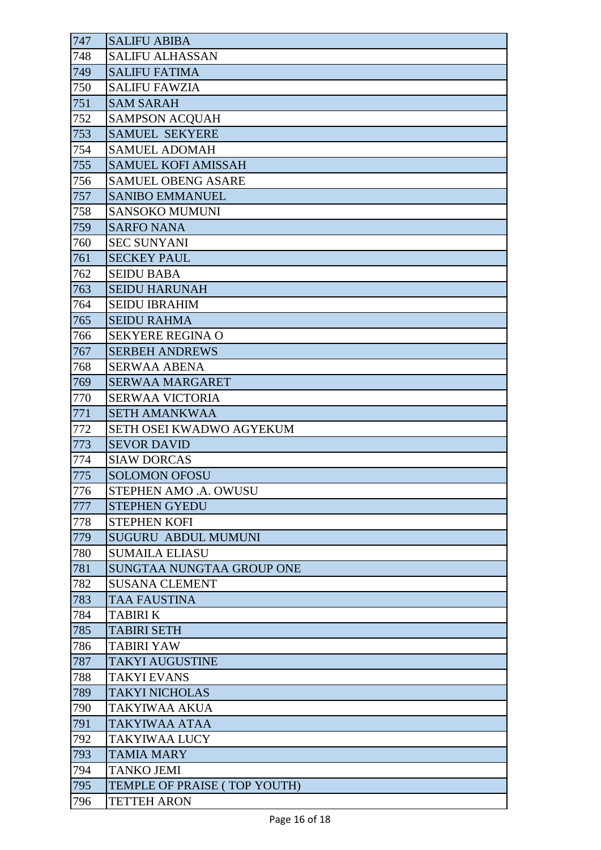| 747 | <b>SALIFU ABIBA</b>          |
|-----|------------------------------|
| 748 | <b>SALIFU ALHASSAN</b>       |
| 749 | <b>SALIFU FATIMA</b>         |
| 750 | <b>SALIFU FAWZIA</b>         |
| 751 | <b>SAM SARAH</b>             |
| 752 | <b>SAMPSON ACQUAH</b>        |
| 753 | <b>SAMUEL SEKYERE</b>        |
| 754 | <b>SAMUEL ADOMAH</b>         |
| 755 | <b>SAMUEL KOFI AMISSAH</b>   |
| 756 | <b>SAMUEL OBENG ASARE</b>    |
| 757 | <b>SANIBO EMMANUEL</b>       |
| 758 | <b>SANSOKO MUMUNI</b>        |
| 759 | <b>SARFO NANA</b>            |
| 760 | <b>SEC SUNYANI</b>           |
| 761 | <b>SECKEY PAUL</b>           |
| 762 | <b>SEIDU BABA</b>            |
| 763 | <b>SEIDU HARUNAH</b>         |
| 764 | <b>SEIDU IBRAHIM</b>         |
| 765 | <b>SEIDU RAHMA</b>           |
| 766 | <b>SEKYERE REGINA O</b>      |
| 767 | <b>SERBEH ANDREWS</b>        |
| 768 | <b>SERWAA ABENA</b>          |
| 769 | <b>SERWAA MARGARET</b>       |
| 770 | <b>SERWAA VICTORIA</b>       |
| 771 | <b>SETH AMANKWAA</b>         |
| 772 | SETH OSEI KWADWO AGYEKUM     |
| 773 | <b>SEVOR DAVID</b>           |
| 774 | <b>SIAW DORCAS</b>           |
| 775 | <b>SOLOMON OFOSU</b>         |
| 776 | STEPHEN AMO .A. OWUSU        |
| 777 | <b>STEPHEN GYEDU</b>         |
| 778 | <b>STEPHEN KOFI</b>          |
| 779 | <b>SUGURU ABDUL MUMUNI</b>   |
| 780 | <b>SUMAILA ELIASU</b>        |
| 781 | SUNGTAA NUNGTAA GROUP ONE    |
| 782 | <b>SUSANA CLEMENT</b>        |
| 783 | <b>TAA FAUSTINA</b>          |
| 784 | TABIRI K                     |
| 785 | <b>TABIRI SETH</b>           |
| 786 | <b>TABIRI YAW</b>            |
| 787 | <b>TAKYI AUGUSTINE</b>       |
| 788 | <b>TAKYI EVANS</b>           |
| 789 | <b>TAKYI NICHOLAS</b>        |
| 790 | TAKYIWAA AKUA                |
| 791 | TAKYIWAA ATAA                |
| 792 | <b>TAKYIWAA LUCY</b>         |
| 793 | <b>TAMIA MARY</b>            |
| 794 | <b>TANKO JEMI</b>            |
| 795 | TEMPLE OF PRAISE (TOP YOUTH) |
| 796 | <b>TETTEH ARON</b>           |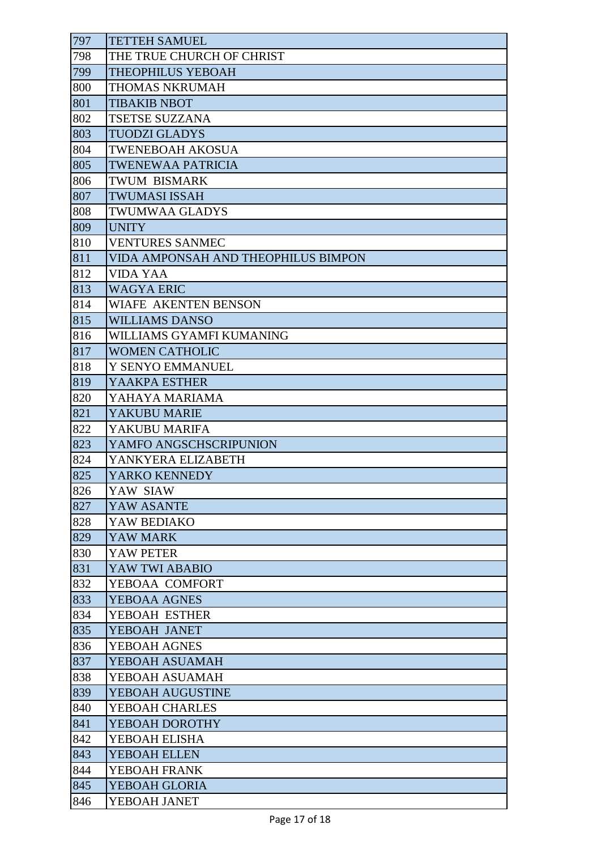| 797 | <b>TETTEH SAMUEL</b>                |
|-----|-------------------------------------|
| 798 | THE TRUE CHURCH OF CHRIST           |
| 799 | <b>THEOPHILUS YEBOAH</b>            |
| 800 | THOMAS NKRUMAH                      |
| 801 | <b>TIBAKIB NBOT</b>                 |
| 802 | TSETSE SUZZANA                      |
| 803 | <b>TUODZI GLADYS</b>                |
| 804 | <b>TWENEBOAH AKOSUA</b>             |
| 805 | <b>TWENEWAA PATRICIA</b>            |
| 806 | <b>TWUM BISMARK</b>                 |
| 807 | <b>TWUMASI ISSAH</b>                |
| 808 | <b>TWUMWAA GLADYS</b>               |
| 809 | <b>UNITY</b>                        |
| 810 | <b>VENTURES SANMEC</b>              |
| 811 | VIDA AMPONSAH AND THEOPHILUS BIMPON |
| 812 | <b>VIDA YAA</b>                     |
| 813 | <b>WAGYA ERIC</b>                   |
| 814 | WIAFE AKENTEN BENSON                |
| 815 | <b>WILLIAMS DANSO</b>               |
| 816 | WILLIAMS GYAMFI KUMANING            |
| 817 | <b>WOMEN CATHOLIC</b>               |
| 818 | Y SENYO EMMANUEL                    |
| 819 | YAAKPA ESTHER                       |
| 820 | YAHAYA MARIAMA                      |
| 821 | YAKUBU MARIE                        |
| 822 | YAKUBU MARIFA                       |
| 823 | YAMFO ANGSCHSCRIPUNION              |
| 824 | YANKYERA ELIZABETH                  |
| 825 | YARKO KENNEDY                       |
| 826 | YAW SIAW                            |
| 827 | YAW ASANTE                          |
| 828 | YAW BEDIAKO                         |
| 829 | YAW MARK                            |
| 830 | <b>YAW PETER</b>                    |
| 831 | YAW TWI ABABIO                      |
| 832 | YEBOAA COMFORT                      |
| 833 | YEBOAA AGNES                        |
| 834 | YEBOAH ESTHER                       |
| 835 | YEBOAH JANET                        |
| 836 | YEBOAH AGNES                        |
| 837 | YEBOAH ASUAMAH                      |
| 838 | YEBOAH ASUAMAH                      |
| 839 | YEBOAH AUGUSTINE                    |
| 840 | YEBOAH CHARLES                      |
| 841 | YEBOAH DOROTHY                      |
| 842 | YEBOAH ELISHA                       |
| 843 | YEBOAH ELLEN                        |
| 844 | YEBOAH FRANK                        |
| 845 | YEBOAH GLORIA                       |
| 846 | YEBOAH JANET                        |